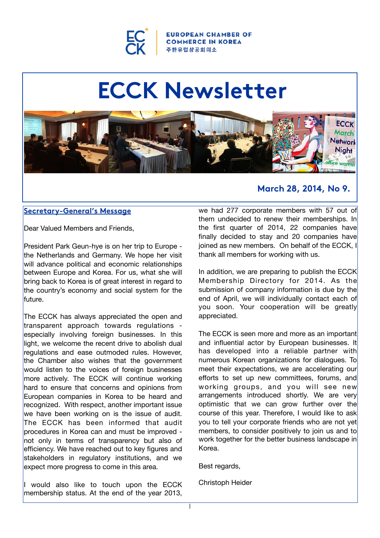

**OPEAN CHAMBER OF COMMERCE IN KOREA 주 한 유**럽 상 공 회 의 소

# **ECCK Newsletter**



#### **Secretary-General's Message**

Dear Valued Members and Friends,

President Park Geun-hye is on her trip to Europe the Netherlands and Germany. We hope her visit will advance political and economic relationships between Europe and Korea. For us, what she will bring back to Korea is of great interest in regard to the country's economy and social system for the future.

The ECCK has always appreciated the open and transparent approach towards regulations especially involving foreign businesses. In this light, we welcome the recent drive to abolish dual regulations and ease outmoded rules. However, the Chamber also wishes that the government would listen to the voices of foreign businesses more actively. The ECCK will continue working hard to ensure that concerns and opinions from European companies in Korea to be heard and recognized. With respect, another important issue we have been working on is the issue of audit. The ECCK has been informed that audit procedures in Korea can and must be improved not only in terms of transparency but also of efficiency. We have reached out to key figures and stakeholders in regulatory institutions, and we expect more progress to come in this area.

I would also like to touch upon the ECCK membership status. At the end of the year 2013,

### **March 28, 2014, No 9.**

we had 277 corporate members with 57 out of them undecided to renew their memberships. In the first quarter of 2014, 22 companies have finally decided to stay and 20 companies have joined as new members. On behalf of the ECCK, I thank all members for working with us.

In addition, we are preparing to publish the ECCK Membership Directory for 2014. As the submission of company information is due by the end of April, we will individually contact each of you soon. Your cooperation will be greatly appreciated.

The ECCK is seen more and more as an important and influential actor by European businesses. It has developed into a reliable partner with numerous Korean organizations for dialogues. To meet their expectations, we are accelerating our efforts to set up new committees, forums, and working groups, and you will see new arrangements introduced shortly. We are very optimistic that we can grow further over the course of this year. Therefore, I would like to ask you to tell your corporate friends who are not yet members, to consider positively to join us and to work together for the better business landscape in Korea.

Best regards,

Christoph Heider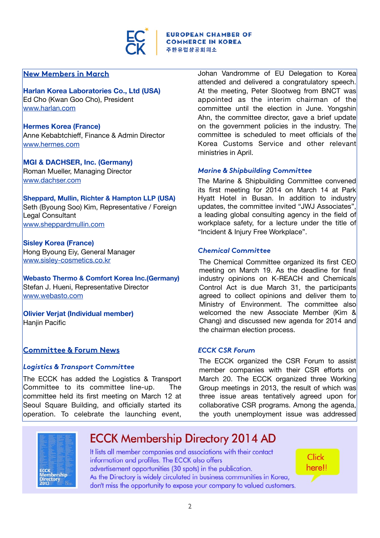

#### **New Members in March**

**Harlan Korea Laboratories Co., Ltd (USA)** Ed Cho (Kwan Goo Cho), President [www.harlan.com](http://www.harlan.com/)

#### **Hermes Korea (France)** Anne Kebabtchieff, Finance & Admin Director

[www.hermes.com](http://www.hermes.com/)

**MGI & DACHSER, Inc. (Germany)** Roman Mueller, Managing Director [www.dachser.com](http://www.dachser.com/)

#### **Sheppard, Mullin, Richter & Hampton LLP (USA)**

Seth (Byoung Soo) Kim, Representative / Foreign Legal Consultant [www.sheppardmullin.com](http://www.sheppardmullin.com/)

#### **Sisley Korea (France)** Hong Byoung Eiy, General Manager [www.sisley-cosmetics.co.kr](http://www.sisley-cosmetics.co.kr/)

**Webasto Thermo & Comfort Korea Inc.(Germany)** Stefan J. Hueni, Representative Director [www.webasto.com](http://www.webasto.com/)

**Olivier Verjat (Individual member)** Hanjin Pacific

#### **Committee & Forum News**

#### *Logistics & Transport Committee*

The ECCK has added the Logistics & Transport Committee to its committee line-up. The committee held its first meeting on March 12 at Seoul Square Building, and officially started its operation. To celebrate the launching event,

Johan Vandromme of EU Delegation to Korea attended and delivered a congratulatory speech. At the meeting, Peter Slootweg from BNCT was appointed as the interim chairman of the committee until the election in June. Yongshin Ahn, the committee director, gave a brief update on the government policies in the industry. The committee is scheduled to meet officials of the Korea Customs Service and other relevant ministries in April.

#### *Marine & Shipbuilding Committee*

The Marine & Shipbuilding Committee convened its first meeting for 2014 on March 14 at Park Hyatt Hotel in Busan. In addition to industry updates, the committee invited "JWJ Associates", a leading global consulting agency in the field of workplace safety, for a lecture under the title of "Incident & Injury Free Workplace".

#### *Chemical Committee*

The Chemical Committee organized its first CEO meeting on March 19. As the deadline for final industry opinions on K-REACH and Chemicals Control Act is due March 31, the participants agreed to collect opinions and deliver them to Ministry of Environment. The committee also welcomed the new Associate Member (Kim & Chang) and discussed new agenda for 2014 and the chairman election process.

#### *ECCK CSR Forum*

The ECCK organized the CSR Forum to assist member companies with their CSR efforts on March 20. The ECCK organized three Working Group meetings in 2013, the result of which was three issue areas tentatively agreed upon for collaborative CSR programs. Among the agenda, the youth unemployment issue was addressed



**ECCK Membership Directory 2014 AD**<br>It lists all member companies and associations with their contact<br>information and profiles. The ECCK also offers advertisement opportunities (30 spots) in the publication.<br>
In the publication.<br>
In the publication.<br>
In the publication.<br>
In the publication.<br>
In the publication.<br>
In the publication.<br>
In the publication of the proportuni

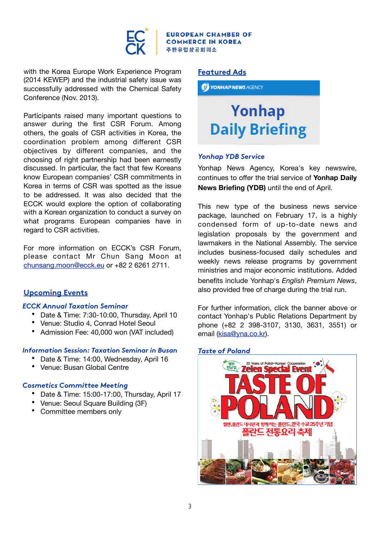

N CHAMBER OF **COMMERCE IN KOREA** 주한유럽상공회의소

with the Korea Europe Work Experience Program (2014 KEWEP) and the industrial safety issue was successfully addressed with the Chemical Safety Conference (Nov. 2013).

Participants raised many important questions to answer during the first CSR Forum. Among others, the goals of CSR activities in Korea, the coordination problem among different CSR objectives by different companies, and the choosing of right partnership had been earnestly discussed. In particular, the fact that few Koreans know European companies' CSR commitments in Korea in terms of CSR was spotted as the issue to be addressed. It was also decided that the ECCK would explore the option of collaborating with a Korean organization to conduct a survey on what programs European companies have in regard to CSR activities.

For more information on ECCK's CSR Forum, please contact Mr Chun Sang Moon at [chunsang.moon@ecck.eu](mailto:chunsang.moon@ecck.eu) or +82 2 6261 2711.

#### **Upcoming Events**

#### *[ECCK Annual Taxation Seminar](http://ecck.eu/nhc/bbs/board.php?bo_table=sub04_01&wr_id=90&sca=Upcoming+Events)*

- Date & Time: 7:30-10:00, Thursday, April 10
- Venue: Studio 4, Conrad Hotel Seoul
- Admission Fee: 40,000 won (VAT included)

#### *[Information Session: Taxation Seminar in Busan](http://ecck.eu/nhc/bbs/board.php?bo_table=sub04_01&wr_id=87&sca=Upcoming+Events)*

- Date & Time: 14:00, Wednesday, April 16
- Venue: Busan Global Centre

#### *[Cosmetics Committee Meeting](http://ecck.eu/nhc/bbs/board.php?bo_table=sub04_01&wr_id=106&sca=Upcoming+Events)*

- Date & Time: 15:00-17:00, Thursday, April 17
- Venue: Seoul Square Building (3F)
- Committee members only

#### **Featured Ads**

*iii* **YONHAP NEWS** AGENCY

## Yonhap **Daily Briefing**

#### *Yonhap YDB Service*

Yonhap News Agency, Korea's key newswire, continues to offer the trial service of **Yonhap Daily News Briefing (YDB)** until the end of April.

This new type of the business news service package, launched on February 17, is a highly condensed form of up-to-date news and legislation proposals by the government and lawmakers in the National Assembly. The service includes business-focused daily schedules and weekly news release programs by government ministries and major economic institutions. Added benefits include Yonhap's *English Premium News*, also provided free of charge during the trial run.

For further information, click the banner above or contact Yonhap's Public Relations Department by phone (+82 2 398-3107, 3130, 3631, 3551) or email [\(kisa@yna.co.kr\)](mailto:kisa@yna.co.kr).

#### *Taste of Poland*